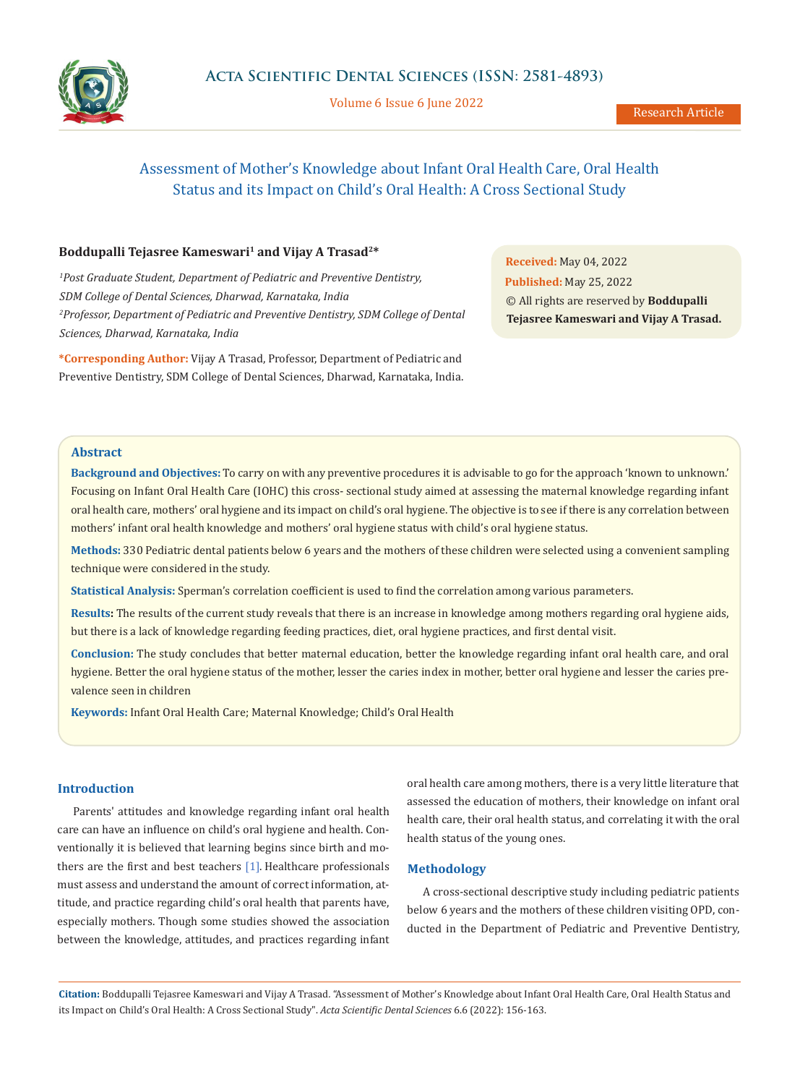

Volume 6 Issue 6 June 2022

# Assessment of Mother's Knowledge about Infant Oral Health Care, Oral Health Status and its Impact on Child's Oral Health: A Cross Sectional Study

# Boddupalli Tejasree Kameswari<sup>1</sup> and Vijay A Trasad<sup>2\*</sup>

*1 Post Graduate Student, Department of Pediatric and Preventive Dentistry, SDM College of Dental Sciences, Dharwad, Karnataka, India 2 Professor, Department of Pediatric and Preventive Dentistry, SDM College of Dental Sciences, Dharwad, Karnataka, India*

**\*Corresponding Author:** Vijay A Trasad, Professor, Department of Pediatric and Preventive Dentistry, SDM College of Dental Sciences, Dharwad, Karnataka, India.

**Received:** May 04, 2022 **Published:** May 25, 2022 © All rights are reserved by **Boddupalli Tejasree Kameswari and Vijay A Trasad.**

## **Abstract**

**Background and Objectives:** To carry on with any preventive procedures it is advisable to go for the approach 'known to unknown.' Focusing on Infant Oral Health Care (IOHC) this cross- sectional study aimed at assessing the maternal knowledge regarding infant oral health care, mothers' oral hygiene and its impact on child's oral hygiene. The objective is to see if there is any correlation between mothers' infant oral health knowledge and mothers' oral hygiene status with child's oral hygiene status.

**Methods:** 330 Pediatric dental patients below 6 years and the mothers of these children were selected using a convenient sampling technique were considered in the study.

**Statistical Analysis:** Sperman's correlation coefficient is used to find the correlation among various parameters.

**Results:** The results of the current study reveals that there is an increase in knowledge among mothers regarding oral hygiene aids, but there is a lack of knowledge regarding feeding practices, diet, oral hygiene practices, and first dental visit.

**Conclusion:** The study concludes that better maternal education, better the knowledge regarding infant oral health care, and oral hygiene. Better the oral hygiene status of the mother, lesser the caries index in mother, better oral hygiene and lesser the caries prevalence seen in children

**Keywords:** Infant Oral Health Care; Maternal Knowledge; Child's Oral Health

# **Introduction**

Parents' attitudes and knowledge regarding infant oral health care can have an influence on child's oral hygiene and health. Conventionally it is believed that learning begins since birth and mothers are the first and best teachers  $[1]$ . Healthcare professionals must assess and understand the amount of correct information, attitude, and practice regarding child's oral health that parents have, especially mothers. Though some studies showed the association between the knowledge, attitudes, and practices regarding infant oral health care among mothers, there is a very little literature that assessed the education of mothers, their knowledge on infant oral health care, their oral health status, and correlating it with the oral health status of the young ones.

## **Methodology**

A cross-sectional descriptive study including pediatric patients below 6 years and the mothers of these children visiting OPD, conducted in the Department of Pediatric and Preventive Dentistry,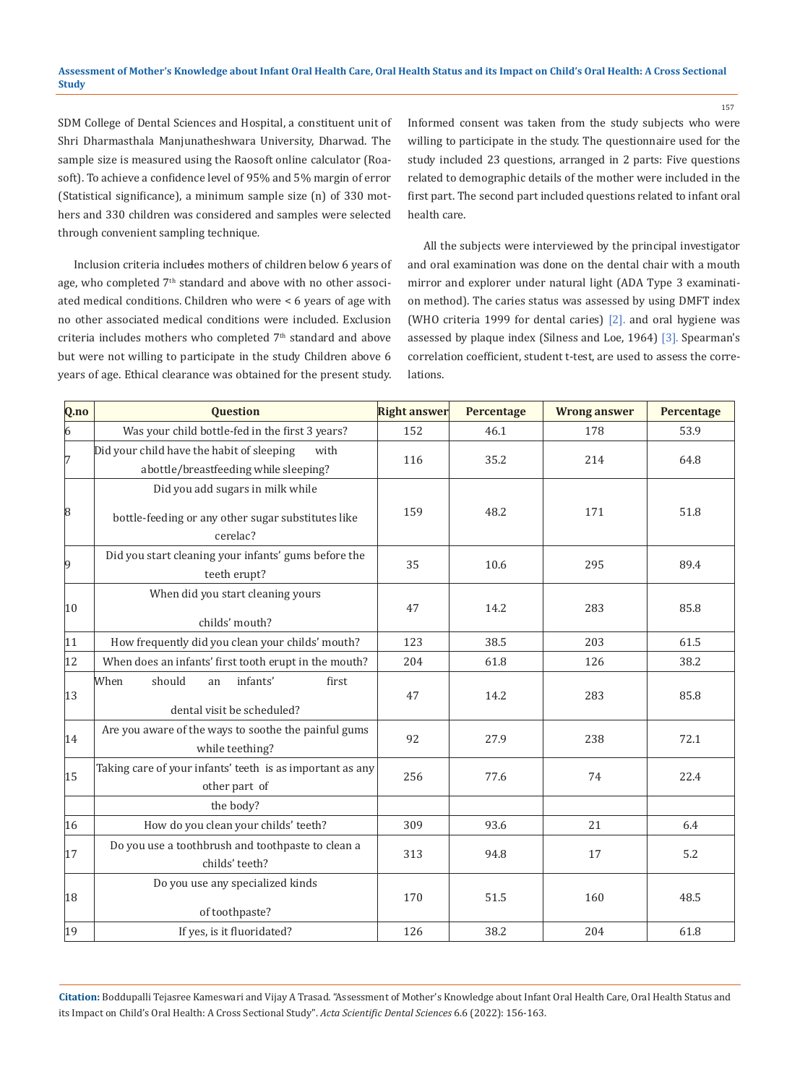SDM College of Dental Sciences and Hospital, a constituent unit of Shri Dharmasthala Manjunatheshwara University, Dharwad. The sample size is measured using the Raosoft online calculator (Roasoft). To achieve a confidence level of 95% and 5% margin of error (Statistical significance), a minimum sample size (n) of 330 mothers and 330 children was considered and samples were selected through convenient sampling technique*.*

Inclusion criteria includes mothers of children below 6 years of age, who completed  $7<sup>th</sup>$  standard and above with no other associated medical conditions. Children who were < 6 years of age with no other associated medical conditions were included. Exclusion criteria includes mothers who completed  $7<sup>th</sup>$  standard and above but were not willing to participate in the study Children above 6 years of age. Ethical clearance was obtained for the present study.

Informed consent was taken from the study subjects who were willing to participate in the study. The questionnaire used for the study included 23 questions, arranged in 2 parts: Five questions related to demographic details of the mother were included in the first part. The second part included questions related to infant oral health care.

157

All the subjects were interviewed by the principal investigator and oral examination was done on the dental chair with a mouth mirror and explorer under natural light (ADA Type 3 examination method). The caries status was assessed by using DMFT index (WHO criteria 1999 for dental caries) [2]. and oral hygiene was assessed by plaque index (Silness and Loe, 1964) [3]. Spearman's correlation coefficient, student t-test, are used to assess the correlations.

| Q.no           | <b>Question</b>                                                                                    | <b>Right answer</b> | Percentage | <b>Wrong answer</b> | Percentage |
|----------------|----------------------------------------------------------------------------------------------------|---------------------|------------|---------------------|------------|
| $\overline{6}$ | Was your child bottle-fed in the first 3 years?                                                    | 152                 | 46.1       | 178                 | 53.9       |
| 7              | Did your child have the habit of sleeping<br>with<br>abottle/breastfeeding while sleeping?         | 116                 | 35.2       | 214                 | 64.8       |
| 8              | Did you add sugars in milk while<br>bottle-feeding or any other sugar substitutes like<br>cerelac? | 159                 | 48.2       | 171                 | 51.8       |
| $\vert 9$      | Did you start cleaning your infants' gums before the<br>teeth erupt?                               | 35                  | 10.6       | 295                 | 89.4       |
| $ 10\rangle$   | When did you start cleaning yours<br>childs' mouth?                                                | 47                  | 14.2       | 283                 | 85.8       |
| 11             | How frequently did you clean your childs' mouth?                                                   | 123                 | 38.5       | 203                 | 61.5       |
| $ 12\rangle$   | When does an infants' first tooth erupt in the mouth?                                              | 204                 | 61.8       | 126                 | 38.2       |
| $ 13\rangle$   | When<br>should<br>infants'<br>first<br>an<br>dental visit be scheduled?                            | 47                  | 14.2       | 283                 | 85.8       |
| 14             | Are you aware of the ways to soothe the painful gums<br>while teething?                            | 92                  | 27.9       | 238                 | 72.1       |
| 15             | Taking care of your infants' teeth is as important as any<br>other part of                         | 256                 | 77.6       | 74                  | 22.4       |
|                | the body?                                                                                          |                     |            |                     |            |
| 16             | How do you clean your childs' teeth?                                                               | 309                 | 93.6       | 21                  | 6.4        |
| 17             | Do you use a toothbrush and toothpaste to clean a<br>childs' teeth?                                | 313                 | 94.8       | 17                  | 5.2        |
| 18             | Do you use any specialized kinds<br>of toothpaste?                                                 | 170                 | 51.5       | 160                 | 48.5       |
| 19             | If yes, is it fluoridated?                                                                         | 126                 | 38.2       | 204                 | 61.8       |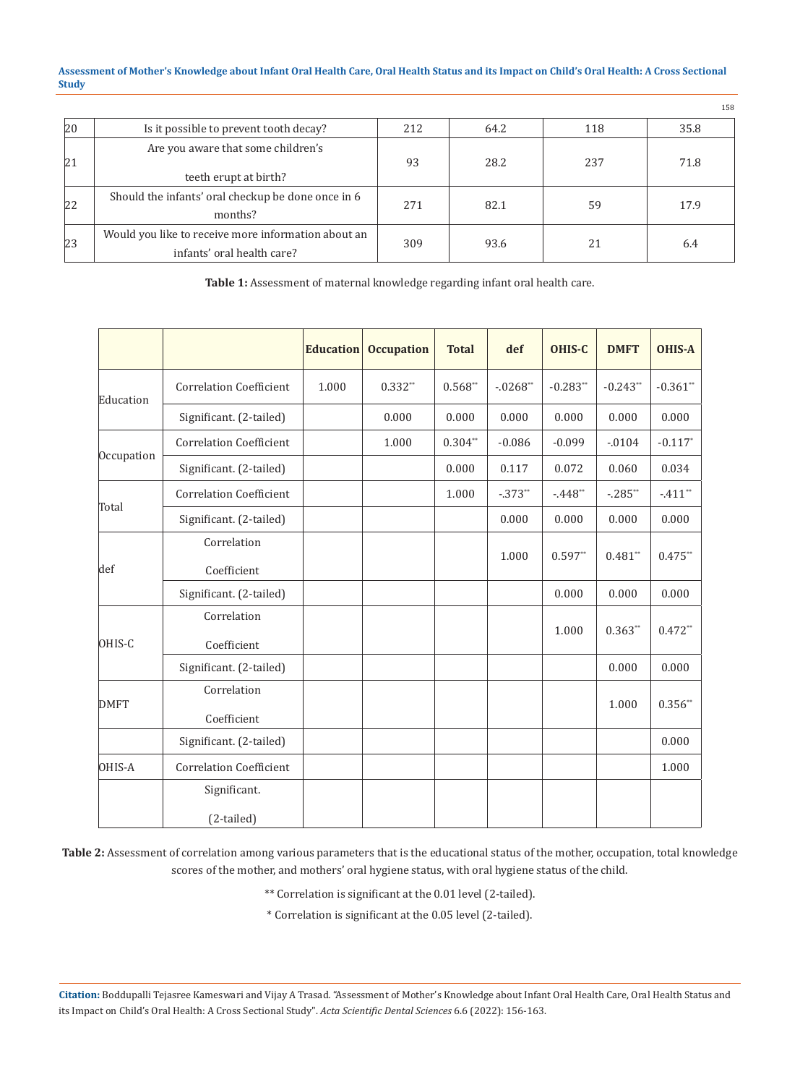#### **Assessment of Mother's Knowledge about Infant Oral Health Care, Oral Health Status and its Impact on Child's Oral Health: A Cross Sectional Study**

|              |                                                                                   |     |      |     | 158  |
|--------------|-----------------------------------------------------------------------------------|-----|------|-----|------|
| $ 20\rangle$ | Is it possible to prevent tooth decay?                                            | 212 | 64.2 | 118 | 35.8 |
| 21           | Are you aware that some children's<br>teeth erupt at birth?                       | 93  | 28.2 | 237 | 71.8 |
| 22           | Should the infants' oral checkup be done once in 6<br>months?                     | 271 | 82.1 | 59  | 17.9 |
| 23           | Would you like to receive more information about an<br>infants' oral health care? | 309 | 93.6 | 21  | 6.4  |

**Table 1:** Assessment of maternal knowledge regarding infant oral health care.

|             |                                | <b>Education</b> | <b>Occupation</b> | <b>Total</b> | def        | <b>OHIS-C</b> | <b>DMFT</b> | <b>OHIS-A</b> |
|-------------|--------------------------------|------------------|-------------------|--------------|------------|---------------|-------------|---------------|
| Education   | <b>Correlation Coefficient</b> | 1.000            | $0.332**$         | $0.568**$    | $-.0268**$ | $-0.283**$    | $-0.243**$  | $-0.361**$    |
|             | Significant. (2-tailed)        |                  | 0.000             | 0.000        | 0.000      | 0.000         | 0.000       | 0.000         |
|             | <b>Correlation Coefficient</b> |                  | 1.000             | $0.304**$    | $-0.086$   | $-0.099$      | $-0104$     | $-0.117*$     |
| Occupation  | Significant. (2-tailed)        |                  |                   | 0.000        | 0.117      | 0.072         | 0.060       | 0.034         |
|             | <b>Correlation Coefficient</b> |                  |                   | 1.000        | $-.373**$  | $-.448**$     | $-.285**$   | $-.411**$     |
| Total       | Significant. (2-tailed)        |                  |                   |              | 0.000      | 0.000         | 0.000       | 0.000         |
| def         | Correlation<br>Coefficient     |                  |                   |              | 1.000      | $0.597**$     | $0.481**$   | $0.475**$     |
|             | Significant. (2-tailed)        |                  |                   |              |            | 0.000         | 0.000       | 0.000         |
| OHIS-C      | Correlation<br>Coefficient     |                  |                   |              |            | 1.000         | $0.363**$   | $0.472**$     |
|             | Significant. (2-tailed)        |                  |                   |              |            |               | 0.000       | 0.000         |
| <b>DMFT</b> | Correlation<br>Coefficient     |                  |                   |              |            |               | 1.000       | $0.356**$     |
|             | Significant. (2-tailed)        |                  |                   |              |            |               |             | 0.000         |
| OHIS-A      | <b>Correlation Coefficient</b> |                  |                   |              |            |               |             | 1.000         |
|             | Significant.<br>(2-tailed)     |                  |                   |              |            |               |             |               |

**Table 2:** Assessment of correlation among various parameters that is the educational status of the mother, occupation, total knowledge scores of the mother, and mothers' oral hygiene status, with oral hygiene status of the child.

\*\* Correlation is significant at the 0.01 level (2-tailed).

\* Correlation is significant at the 0.05 level (2-tailed).

**Citation:** Boddupalli Tejasree Kameswari and Vijay A Trasad*.* "Assessment of Mother's Knowledge about Infant Oral Health Care, Oral Health Status and its Impact on Child's Oral Health: A Cross Sectional Study". *Acta Scientific Dental Sciences* 6.6 (2022): 156-163.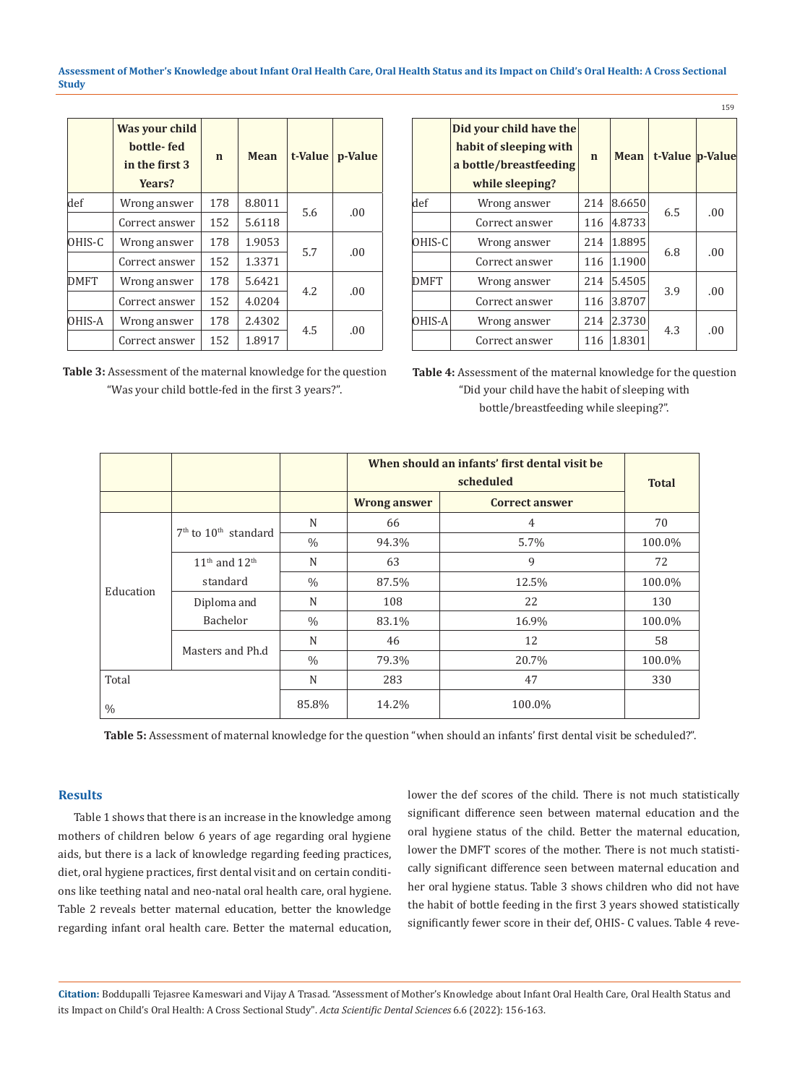**Assessment of Mother's Knowledge about Infant Oral Health Care, Oral Health Status and its Impact on Child's Oral Health: A Cross Sectional Study**

|             | Was your child<br>bottle-fed<br>in the first 3<br>Years? | $\mathbf n$ | <b>Mean</b> | t-Value | p-Value |
|-------------|----------------------------------------------------------|-------------|-------------|---------|---------|
| def         | Wrong answer                                             | 178         | 8.8011      |         |         |
|             | Correct answer                                           | 152         | 5.6118      | 5.6     | .00     |
| OHIS-C      | Wrong answer                                             | 178         | 1.9053      | 5.7     | .00     |
|             | Correct answer                                           | 152         | 1.3371      |         |         |
| <b>DMFT</b> | Wrong answer                                             | 178         | 5.6421      | 4.2.    |         |
|             | Correct answer                                           | 152         | 4.0204      |         | .00.    |
| OHIS-A      | Wrong answer                                             | 178         | 2.4302      |         | .00     |
|             | Correct answer                                           | 152         | 1.8917      | 4.5     |         |

| <b>Table 3:</b> Assessment of the maternal knowledge for the question |  |
|-----------------------------------------------------------------------|--|
| "Was your child bottle-fed in the first 3 years?".                    |  |

|             |                                                                                                |             |        |                 | 159 |
|-------------|------------------------------------------------------------------------------------------------|-------------|--------|-----------------|-----|
|             | Did your child have the<br>habit of sleeping with<br>a bottle/breastfeeding<br>while sleeping? | $\mathbf n$ | Mean   | t-Value p-Value |     |
| def         | Wrong answer                                                                                   | 214         | 8.6650 | 6.5             | .00 |
|             | Correct answer                                                                                 | 116         | 4.8733 |                 |     |
| OHIS-C      | Wrong answer                                                                                   | 214         | 1.8895 | 6.8             | .00 |
|             | Correct answer                                                                                 | 116         | 1.1900 |                 |     |
| <b>DMFT</b> | Wrong answer                                                                                   | 214         | 5.4505 | 3.9             | .00 |
|             | Correct answer                                                                                 | 116         | 3.8707 |                 |     |
| OHIS-A      | Wrong answer                                                                                   | 214         | 2.3730 | 4.3             | .00 |
|             | Correct answer                                                                                 | 116         | 1.8301 |                 |     |

**Table 4:** Assessment of the maternal knowledge for the question "Did your child have the habit of sleeping with bottle/breastfeeding while sleeping?".

|               |                          |               | When should an infants' first dental visit be | <b>Total</b>          |        |  |
|---------------|--------------------------|---------------|-----------------------------------------------|-----------------------|--------|--|
|               |                          |               | <b>Wrong answer</b>                           | <b>Correct answer</b> |        |  |
|               |                          | N             | 66                                            | 4                     | 70     |  |
|               | $7th$ to $10th$ standard | $\frac{0}{0}$ | 94.3%                                         | 5.7%                  | 100.0% |  |
|               | $11th$ and $12th$        | N             | 63                                            | 9                     | 72     |  |
| Education     | standard                 | $\frac{0}{0}$ | 87.5%                                         | 12.5%                 | 100.0% |  |
|               | Diploma and              | N             | 108                                           | 22                    | 130    |  |
|               | Bachelor                 | $\frac{0}{0}$ | 83.1%                                         | 16.9%                 | 100.0% |  |
|               | Masters and Ph.d         | N             | 46                                            | 12                    | 58     |  |
|               |                          | $\frac{0}{0}$ | 79.3%                                         | 20.7%                 | 100.0% |  |
| Total         |                          | N             | 283                                           | 47                    | 330    |  |
| $\frac{0}{0}$ |                          | 85.8%         | 14.2%                                         | 100.0%                |        |  |

**Table 5:** Assessment of maternal knowledge for the question "when should an infants' first dental visit be scheduled?".

# **Results**

Table 1 shows that there is an increase in the knowledge among mothers of children below 6 years of age regarding oral hygiene aids, but there is a lack of knowledge regarding feeding practices, diet, oral hygiene practices, first dental visit and on certain conditions like teething natal and neo-natal oral health care, oral hygiene. Table 2 reveals better maternal education, better the knowledge regarding infant oral health care. Better the maternal education, lower the def scores of the child. There is not much statistically significant difference seen between maternal education and the oral hygiene status of the child. Better the maternal education, lower the DMFT scores of the mother. There is not much statistically significant difference seen between maternal education and her oral hygiene status. Table 3 shows children who did not have the habit of bottle feeding in the first 3 years showed statistically significantly fewer score in their def, OHIS- C values. Table 4 reve-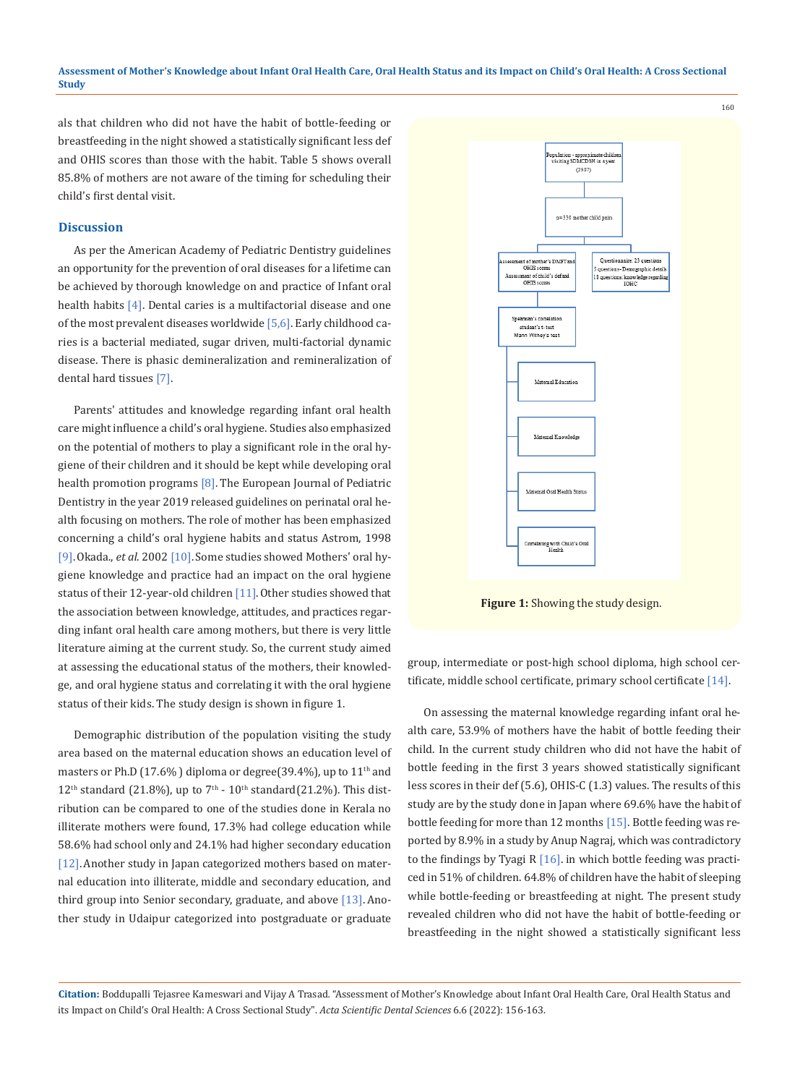als that children who did not have the habit of bottle-feeding or breastfeeding in the night showed a statistically significant less def and OHIS scores than those with the habit. Table 5 shows overall 85.8% of mothers are not aware of the timing for scheduling their child's first dental visit.

#### **Discussion**

As per the American Academy of Pediatric Dentistry guidelines an opportunity for the prevention of oral diseases for a lifetime can be achieved by thorough knowledge on and practice of Infant oral health habits  $[4]$ . Dental caries is a multifactorial disease and one of the most prevalent diseases worldwide  $[5,6]$ . Early childhood caries is a bacterial mediated, sugar driven, multi-factorial dynamic disease. There is phasic demineralization and remineralization of dental hard tissues [7].

Parents' attitudes and knowledge regarding infant oral health care might influence a child's oral hygiene. Studies also emphasized on the potential of mothers to play a significant role in the oral hygiene of their children and it should be kept while developing oral health promotion programs [8]. The European Journal of Pediatric Dentistry in the year 2019 released guidelines on perinatal oral health focusing on mothers. The role of mother has been emphasized concerning a child's oral hygiene habits and status Astrom, 1998 [9].Okada., *et al*. 2002 [10].Some studies showed Mothers' oral hygiene knowledge and practice had an impact on the oral hygiene status of their 12-year-old children [11]. Other studies showed that the association between knowledge, attitudes, and practices regarding infant oral health care among mothers, but there is very little literature aiming at the current study. So, the current study aimed at assessing the educational status of the mothers, their knowledge, and oral hygiene status and correlating it with the oral hygiene status of their kids. The study design is shown in figure 1.

Demographic distribution of the population visiting the study area based on the maternal education shows an education level of masters or Ph.D (17.6%) diploma or degree(39.4%), up to  $11<sup>th</sup>$  and  $12<sup>th</sup>$  standard (21.8%), up to  $7<sup>th</sup>$  -  $10<sup>th</sup>$  standard(21.2%). This distribution can be compared to one of the studies done in Kerala no illiterate mothers were found, 17.3% had college education while 58.6% had school only and 24.1% had higher secondary education [12]. Another study in Japan categorized mothers based on maternal education into illiterate, middle and secondary education, and third group into Senior secondary, graduate, and above [13]. Another study in Udaipur categorized into postgraduate or graduate



**Figure 1:** Showing the study design.

group, intermediate or post-high school diploma, high school certificate, middle school certificate, primary school certificate [14].

On assessing the maternal knowledge regarding infant oral health care, 53.9% of mothers have the habit of bottle feeding their child. In the current study children who did not have the habit of bottle feeding in the first 3 years showed statistically significant less scores in their def (5.6), OHIS-C (1.3) values. The results of this study are by the study done in Japan where 69.6% have the habit of bottle feeding for more than 12 months [15]. Bottle feeding was reported by 8.9% in a study by Anup Nagraj, which was contradictory to the findings by Tyagi R  $[16]$ . in which bottle feeding was practiced in 51% of children. 64.8% of children have the habit of sleeping while bottle-feeding or breastfeeding at night. The present study revealed children who did not have the habit of bottle-feeding or breastfeeding in the night showed a statistically significant less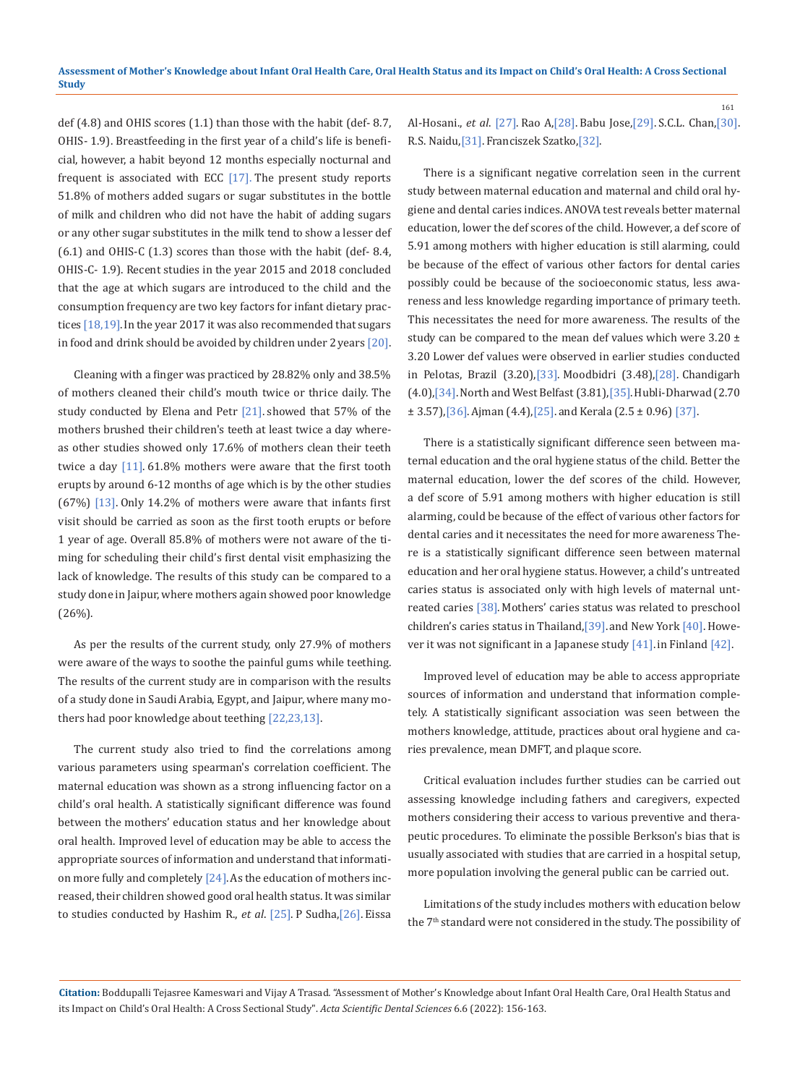def (4.8) and OHIS scores (1.1) than those with the habit (def- 8.7, OHIS- 1.9). Breastfeeding in the first year of a child's life is beneficial, however, a habit beyond 12 months especially nocturnal and frequent is associated with ECC  $[17]$ . The present study reports 51.8% of mothers added sugars or sugar substitutes in the bottle of milk and children who did not have the habit of adding sugars or any other sugar substitutes in the milk tend to show a lesser def (6.1) and OHIS-C (1.3) scores than those with the habit (def- 8.4, OHIS-C- 1.9). Recent studies in the year 2015 and 2018 concluded that the age at which sugars are introduced to the child and the consumption frequency are two key factors for infant dietary practices  $[18,19]$ . In the year 2017 it was also recommended that sugars in food and drink should be avoided by children under  $2$  years  $[20]$ .

Cleaning with a finger was practiced by 28.82% only and 38.5% of mothers cleaned their child's mouth twice or thrice daily. The study conducted by Elena and Petr [21]. showed that 57% of the mothers brushed their children's teeth at least twice a day whereas other studies showed only 17.6% of mothers clean their teeth twice a day  $[11]$ . 61.8% mothers were aware that the first tooth erupts by around 6-12 months of age which is by the other studies (67%) [13]. Only 14.2% of mothers were aware that infants first visit should be carried as soon as the first tooth erupts or before 1 year of age. Overall 85.8% of mothers were not aware of the timing for scheduling their child's first dental visit emphasizing the lack of knowledge. The results of this study can be compared to a study done in Jaipur, where mothers again showed poor knowledge (26%).

As per the results of the current study, only 27.9% of mothers were aware of the ways to soothe the painful gums while teething. The results of the current study are in comparison with the results of a study done in Saudi Arabia, Egypt, and Jaipur, where many mothers had poor knowledge about teething [22,23,13].

The current study also tried to find the correlations among various parameters using spearman's correlation coefficient. The maternal education was shown as a strong influencing factor on a child's oral health. A statistically significant difference was found between the mothers' education status and her knowledge about oral health. Improved level of education may be able to access the appropriate sources of information and understand that information more fully and completely [24]. As the education of mothers increased, their children showed good oral health status. It was similar to studies conducted by Hashim R., *et al*. [25]. P Sudha,[26]. Eissa

Al-Hosani., *et al*. [27]. Rao A,[28]. Babu Jose,[29]. S.C.L. Chan,[30]. R.S. Naidu,[31].Franciszek Szatko,[32].

There is a significant negative correlation seen in the current study between maternal education and maternal and child oral hygiene and dental caries indices. ANOVA test reveals better maternal education, lower the def scores of the child. However, a def score of 5.91 among mothers with higher education is still alarming, could be because of the effect of various other factors for dental caries possibly could be because of the socioeconomic status, less awareness and less knowledge regarding importance of primary teeth. This necessitates the need for more awareness. The results of the study can be compared to the mean def values which were  $3.20 \pm$ 3.20 Lower def values were observed in earlier studies conducted in Pelotas, Brazil (3.20),[33]. Moodbidri (3.48),[28]. Chandigarh (4.0),[34].North and West Belfast (3.81),[35].Hubli-Dharwad (2.70  $\pm$  3.57), [36]. Ajman (4.4), [25]. and Kerala (2.5  $\pm$  0.96) [37].

There is a statistically significant difference seen between maternal education and the oral hygiene status of the child. Better the maternal education, lower the def scores of the child. However, a def score of 5.91 among mothers with higher education is still alarming, could be because of the effect of various other factors for dental caries and it necessitates the need for more awareness There is a statistically significant difference seen between maternal education and her oral hygiene status. However, a child's untreated caries status is associated only with high levels of maternal untreated caries [38]. Mothers' caries status was related to preschool children's caries status in Thailand, [39]. and New York [40]. However it was not significant in a Japanese study [41].in Finland [42].

Improved level of education may be able to access appropriate sources of information and understand that information completely. A statistically significant association was seen between the mothers knowledge, attitude, practices about oral hygiene and caries prevalence, mean DMFT, and plaque score.

Critical evaluation includes further studies can be carried out assessing knowledge including fathers and caregivers, expected mothers considering their access to various preventive and therapeutic procedures. To eliminate the possible Berkson's bias that is usually associated with studies that are carried in a hospital setup, more population involving the general public can be carried out.

Limitations of the study includes mothers with education below the 7<sup>th</sup> standard were not considered in the study. The possibility of

**Citation:** Boddupalli Tejasree Kameswari and Vijay A Trasad*.* "Assessment of Mother's Knowledge about Infant Oral Health Care, Oral Health Status and its Impact on Child's Oral Health: A Cross Sectional Study". *Acta Scientific Dental Sciences* 6.6 (2022): 156-163.

161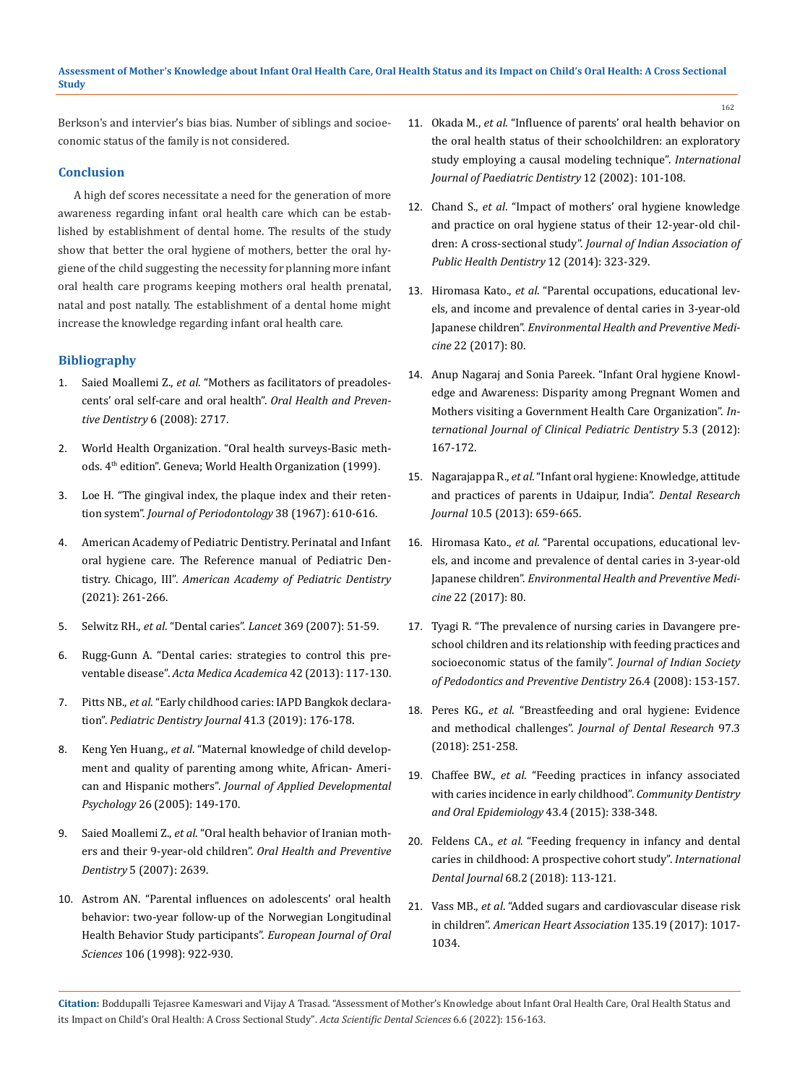Berkson's and intervier's bias bias. Number of siblings and socioeconomic status of the family is not considered.

# **Conclusion**

A high def scores necessitate a need for the generation of more awareness regarding infant oral health care which can be established by establishment of dental home. The results of the study show that better the oral hygiene of mothers, better the oral hygiene of the child suggesting the necessity for planning more infant oral health care programs keeping mothers oral health prenatal, natal and post natally. The establishment of a dental home might increase the knowledge regarding infant oral health care.

## **Bibliography**

- 1. Saied Moallemi Z., *et al*[. "Mothers as facilitators of preadoles](https://pubmed.ncbi.nlm.nih.gov/19178091/)[cents' oral self-care and oral health".](https://pubmed.ncbi.nlm.nih.gov/19178091/) *Oral Health and Preventive Dentistry* [6 \(2008\): 2717.](https://pubmed.ncbi.nlm.nih.gov/19178091/)
- 2. [World Health Organization. "Oral health surveys-Basic meth](https://apps.who.int/iris/handle/10665/41905)ods. 4<sup>th</sup> [edition". Geneva; World Health Organization \(1999\).](https://apps.who.int/iris/handle/10665/41905)
- 3. [Loe H. "The gingival index, the plaque index and their reten](https://pubmed.ncbi.nlm.nih.gov/5237684/)tion system". *[Journal of Periodontology](https://pubmed.ncbi.nlm.nih.gov/5237684/)* 38 (1967): 610-616.
- 4. American Academy of Pediatric Dentistry. Perinatal and Infant oral hygiene care. The Reference manual of Pediatric Dentistry. Chicago, III". *American Academy of Pediatric Dentistry* (2021): 261-266.
- 5. Selwitz RH., *et al*. "Dental caries". *Lancet* [369 \(2007\): 51-59.](https://pubmed.ncbi.nlm.nih.gov/17208642/)
- 6. [Rugg-Gunn A. "Dental caries: strategies to control this pre](https://pubmed.ncbi.nlm.nih.gov/24308392/)ventable disease". *[Acta Medica Academica](https://pubmed.ncbi.nlm.nih.gov/24308392/)* 42 (2013): 117-130.
- 7. Pitts NB., *et al*[. "Early childhood caries: IAPD Bangkok declara](https://iapdworld.org/wp-content/uploads/2020/02/2019-International_Journal_of_Paediatric_Dentistry.pdf)tion". *[Pediatric Dentistry Journal](https://iapdworld.org/wp-content/uploads/2020/02/2019-International_Journal_of_Paediatric_Dentistry.pdf)* 41.3 (2019): 176-178.
- 8. Keng Yen Huang., *et al*[. "Maternal knowledge of child develop](https://www.sciencedirect.com/science/article/abs/pii/S019339730400142X)[ment and quality of parenting among white, African- Ameri](https://www.sciencedirect.com/science/article/abs/pii/S019339730400142X)can and Hispanic mothers". *[Journal of Applied Developmental](https://www.sciencedirect.com/science/article/abs/pii/S019339730400142X)  Psychology* [26 \(2005\): 149-170.](https://www.sciencedirect.com/science/article/abs/pii/S019339730400142X)
- 9. Saied Moallemi Z., *et al*[. "Oral health behavior of Iranian moth](https://pubmed.ncbi.nlm.nih.gov/18173086/)[ers and their 9-year-old children".](https://pubmed.ncbi.nlm.nih.gov/18173086/) *Oral Health and Preventive Dentistry* [5 \(2007\): 2639.](https://pubmed.ncbi.nlm.nih.gov/18173086/)
- 10. [Astrom AN. "Parental influences on adolescents' oral health](https://pubmed.ncbi.nlm.nih.gov/9786321/)  [behavior: two-year follow-up of the Norwegian Longitudinal](https://pubmed.ncbi.nlm.nih.gov/9786321/)  [Health Behavior Study participants".](https://pubmed.ncbi.nlm.nih.gov/9786321/) *European Journal of Oral Sciences* [106 \(1998\): 922-930.](https://pubmed.ncbi.nlm.nih.gov/9786321/)

11. Okada M., *et al*[. "Influence of parents' oral health behavior on](https://www.researchgate.net/publication/11400942_Influence_of_parents%27_oral_health_behaviour_on_oral_health_status_of_their_school_children_An_exploratory_study_employing_a_causal_modelling_technique)  [the oral health status of their schoolchildren: an exploratory](https://www.researchgate.net/publication/11400942_Influence_of_parents%27_oral_health_behaviour_on_oral_health_status_of_their_school_children_An_exploratory_study_employing_a_causal_modelling_technique)  [study employing a causal modeling technique".](https://www.researchgate.net/publication/11400942_Influence_of_parents%27_oral_health_behaviour_on_oral_health_status_of_their_school_children_An_exploratory_study_employing_a_causal_modelling_technique) *International [Journal of Paediatric Dentistry](https://www.researchgate.net/publication/11400942_Influence_of_parents%27_oral_health_behaviour_on_oral_health_status_of_their_school_children_An_exploratory_study_employing_a_causal_modelling_technique)* 12 (2002): 101-108.

162

- 12. Chand S., *et al*[. "Impact of mothers' oral hygiene knowledge](https://www.jiaphd.org/article.asp?issn=2319-5932;year=2014;volume=12;issue=4;spage=323;epage=329;aulast=Chand)  [and practice on oral hygiene status of their 12-year-old chil](https://www.jiaphd.org/article.asp?issn=2319-5932;year=2014;volume=12;issue=4;spage=323;epage=329;aulast=Chand)dren: A cross-sectional study". *[Journal of Indian Association of](https://www.jiaphd.org/article.asp?issn=2319-5932;year=2014;volume=12;issue=4;spage=323;epage=329;aulast=Chand)  [Public Health Dentistry](https://www.jiaphd.org/article.asp?issn=2319-5932;year=2014;volume=12;issue=4;spage=323;epage=329;aulast=Chand)* 12 (2014): 323-329.
- 13. Hiromasa Kato., *et al*[. "Parental occupations, educational lev](https://pubmed.ncbi.nlm.nih.gov/29237397/)[els, and income and prevalence of dental caries in 3-year-old](https://pubmed.ncbi.nlm.nih.gov/29237397/)  Japanese children". *[Environmental Health and Preventive Medi](https://pubmed.ncbi.nlm.nih.gov/29237397/)cine* [22 \(2017\): 80.](https://pubmed.ncbi.nlm.nih.gov/29237397/)
- 14. [Anup Nagaraj and Sonia Pareek. "Infant Oral hygiene Knowl](https://www.ncbi.nlm.nih.gov/pmc/articles/PMC4155879/)[edge and Awareness: Disparity among Pregnant Women and](https://www.ncbi.nlm.nih.gov/pmc/articles/PMC4155879/)  [Mothers visiting a Government Health Care Organization".](https://www.ncbi.nlm.nih.gov/pmc/articles/PMC4155879/) *In[ternational Journal of Clinical Pediatric Dentistry](https://www.ncbi.nlm.nih.gov/pmc/articles/PMC4155879/)* 5.3 (2012): [167-172.](https://www.ncbi.nlm.nih.gov/pmc/articles/PMC4155879/)
- 15. Nagarajappa R., *et al*[. "Infant oral hygiene: Knowledge, attitude](https://www.ncbi.nlm.nih.gov/pmc/articles/PMC3858743/)  [and practices of parents in Udaipur, India".](https://www.ncbi.nlm.nih.gov/pmc/articles/PMC3858743/) *Dental Research Journal* [10.5 \(2013\): 659-665.](https://www.ncbi.nlm.nih.gov/pmc/articles/PMC3858743/)
- 16. Hiromasa Kato., *et al*[. "Parental occupations, educational lev](https://pubmed.ncbi.nlm.nih.gov/29237397/)[els, and income and prevalence of dental caries in 3-year-old](https://pubmed.ncbi.nlm.nih.gov/29237397/)  Japanese children". *[Environmental Health and Preventive Medi](https://pubmed.ncbi.nlm.nih.gov/29237397/)cine* [22 \(2017\): 80.](https://pubmed.ncbi.nlm.nih.gov/29237397/)
- 17. [Tyagi R. "The prevalence of nursing caries in Davangere pre](https://pubmed.ncbi.nlm.nih.gov/19008623/)[school children and its relationship with feeding practices and](https://pubmed.ncbi.nlm.nih.gov/19008623/)  [socioeconomic status of the family".](https://pubmed.ncbi.nlm.nih.gov/19008623/) *Journal of Indian Society [of Pedodontics and Preventive Dentistry](https://pubmed.ncbi.nlm.nih.gov/19008623/)* 26.4 (2008): 153-157.
- 18. Peres KG., *et al*[. "Breastfeeding and oral hygiene: Evidence](https://pubmed.ncbi.nlm.nih.gov/29108500/)  and methodical challenges". *[Journal of Dental Research](https://pubmed.ncbi.nlm.nih.gov/29108500/)* 97.3 [\(2018\): 251-258.](https://pubmed.ncbi.nlm.nih.gov/29108500/)
- 19. Chaffee BW., *et al*[. "Feeding practices in infancy associated](https://pubmed.ncbi.nlm.nih.gov/25753518/)  [with caries incidence in early childhood".](https://pubmed.ncbi.nlm.nih.gov/25753518/) *Community Dentistry [and Oral Epidemiology](https://pubmed.ncbi.nlm.nih.gov/25753518/)* 43.4 (2015): 338-348.
- 20. Feldens CA., *et al*[. "Feeding frequency in infancy and dental](https://pubmed.ncbi.nlm.nih.gov/28868798/)  [caries in childhood: A prospective cohort study".](https://pubmed.ncbi.nlm.nih.gov/28868798/) *International Dental Journal* [68.2 \(2018\): 113-121.](https://pubmed.ncbi.nlm.nih.gov/28868798/)
- 21. Vass MB., *et al*[. "Added sugars and cardiovascular disease risk](https://pubmed.ncbi.nlm.nih.gov/27550974/)  in children". *[American Heart Association](https://pubmed.ncbi.nlm.nih.gov/27550974/)* 135.19 (2017): 1017- [1034.](https://pubmed.ncbi.nlm.nih.gov/27550974/)